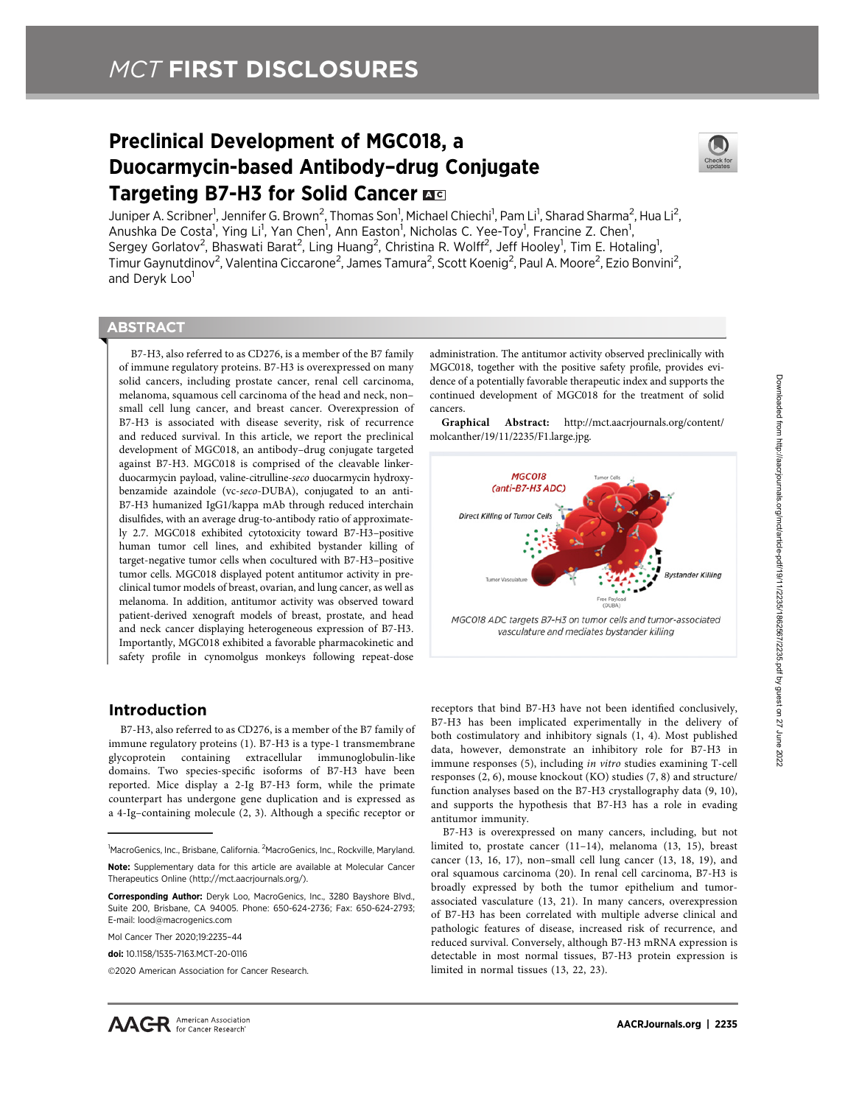# Preclinical Development of MGC018, a Duocarmycin-based Antibody–drug Conjugate Targeting B7-H3 for Solid Cancer B



Juniper A. Scribner<sup>1</sup>, Jennifer G. Brown<sup>2</sup>, Thomas Son<sup>1</sup>, Michael Chiechi<sup>1</sup>, Pam Li<sup>1</sup>, Sharad Sharma<sup>2</sup>, Hua Li<sup>2</sup>, Anushka De Costa<sup>1</sup>, Ying Li<sup>1</sup>, Yan Chen<sup>1</sup>, Ann Easton<sup>1</sup>, Nicholas C. Yee-Toy<sup>1</sup>, Francine Z. Chen<sup>1</sup>, Sergey Gorlatov<sup>2</sup>, Bhaswati Barat<sup>2</sup>, Ling Huang<sup>2</sup>, Christina R. Wolff<sup>2</sup>, Jeff Hooley<sup>1</sup>, Tim E. Hotaling<sup>1</sup>, Timur Gaynutdinov<sup>2</sup>, Valentina Ciccarone<sup>2</sup>, James Tamura<sup>2</sup>, Scott Koenig<sup>2</sup>, Paul A. Moore<sup>2</sup>, Ezio Bonvini<sup>2</sup>, and Deryk Loo<sup>1</sup>

# **ABSTRACT**

◥

B7-H3, also referred to as CD276, is a member of the B7 family of immune regulatory proteins. B7-H3 is overexpressed on many solid cancers, including prostate cancer, renal cell carcinoma, melanoma, squamous cell carcinoma of the head and neck, non– small cell lung cancer, and breast cancer. Overexpression of B7-H3 is associated with disease severity, risk of recurrence and reduced survival. In this article, we report the preclinical development of MGC018, an antibody–drug conjugate targeted against B7-H3. MGC018 is comprised of the cleavable linkerduocarmycin payload, valine-citrulline-seco duocarmycin hydroxybenzamide azaindole (vc-seco-DUBA), conjugated to an anti-B7-H3 humanized IgG1/kappa mAb through reduced interchain disulfides, with an average drug-to-antibody ratio of approximately 2.7. MGC018 exhibited cytotoxicity toward B7-H3–positive human tumor cell lines, and exhibited bystander killing of target-negative tumor cells when cocultured with B7-H3–positive tumor cells. MGC018 displayed potent antitumor activity in preclinical tumor models of breast, ovarian, and lung cancer, as well as melanoma. In addition, antitumor activity was observed toward patient-derived xenograft models of breast, prostate, and head and neck cancer displaying heterogeneous expression of B7-H3. Importantly, MGC018 exhibited a favorable pharmacokinetic and safety profile in cynomolgus monkeys following repeat-dose

# Introduction

B7-H3, also referred to as CD276, is a member of the B7 family of immune regulatory proteins (1). B7-H3 is a type-1 transmembrane glycoprotein containing extracellular immunoglobulin-like domains. Two species-specific isoforms of B7-H3 have been reported. Mice display a 2-Ig B7-H3 form, while the primate counterpart has undergone gene duplication and is expressed as a 4-Ig–containing molecule (2, 3). Although a specific receptor or

Mol Cancer Ther 2020;19:2235–44

administration. The antitumor activity observed preclinically with MGC018, together with the positive safety profile, provides evidence of a potentially favorable therapeutic index and supports the continued development of MGC018 for the treatment of solid cancers.

Graphical Abstract: [http://mct.aacrjournals.org/content/](http://mct.aacrjournals.org/content/molcanther/00/0/000/F1.large.jpg) [molcanther/19/11/2235/F1.large.jpg.](http://mct.aacrjournals.org/content/molcanther/00/0/000/F1.large.jpg)



receptors that bind B7-H3 have not been identified conclusively, B7-H3 has been implicated experimentally in the delivery of both costimulatory and inhibitory signals (1, 4). Most published data, however, demonstrate an inhibitory role for B7-H3 in immune responses (5), including in vitro studies examining T-cell responses (2, 6), mouse knockout (KO) studies (7, 8) and structure/ function analyses based on the B7-H3 crystallography data (9, 10), and supports the hypothesis that B7-H3 has a role in evading antitumor immunity.

B7-H3 is overexpressed on many cancers, including, but not limited to, prostate cancer (11–14), melanoma (13, 15), breast cancer (13, 16, 17), non–small cell lung cancer (13, 18, 19), and oral squamous carcinoma (20). In renal cell carcinoma, B7-H3 is broadly expressed by both the tumor epithelium and tumorassociated vasculature (13, 21). In many cancers, overexpression of B7-H3 has been correlated with multiple adverse clinical and pathologic features of disease, increased risk of recurrence, and reduced survival. Conversely, although B7-H3 mRNA expression is detectable in most normal tissues, B7-H3 protein expression is limited in normal tissues (13, 22, 23).

<sup>&</sup>lt;sup>1</sup>MacroGenics, Inc., Brisbane, California. <sup>2</sup>MacroGenics, Inc., Rockville, Maryland. Note: Supplementary data for this article are available at Molecular Cancer

Therapeutics Online (http://mct.aacrjournals.org/).

Corresponding Author: Deryk Loo, MacroGenics, Inc., 3280 Bayshore Blvd., Suite 200, Brisbane, CA 94005. Phone: 650-624-2736; Fax: 650-624-2793; E-mail: lood@macrogenics.com

doi: 10.1158/1535-7163.MCT-20-0116

<sup>2020</sup> American Association for Cancer Research.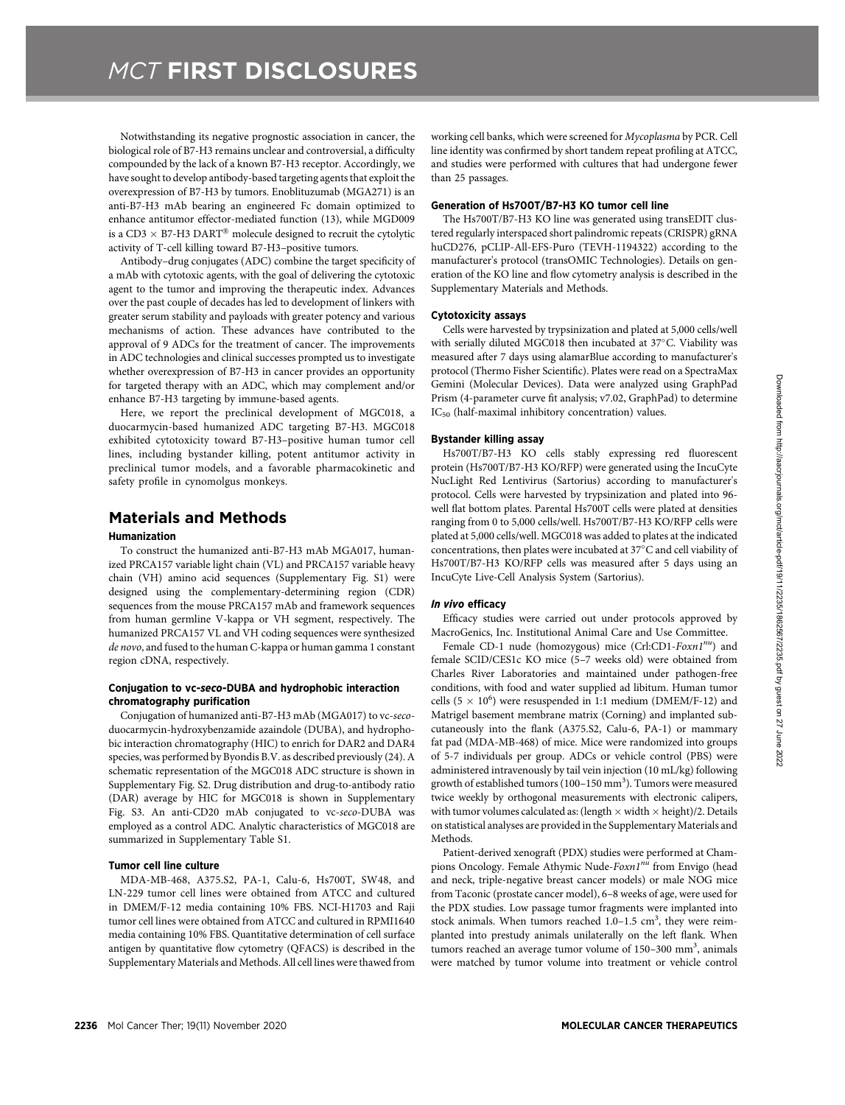Notwithstanding its negative prognostic association in cancer, the biological role of B7-H3 remains unclear and controversial, a difficulty compounded by the lack of a known B7-H3 receptor. Accordingly, we have sought to develop antibody-based targeting agents that exploit the overexpression of B7-H3 by tumors. Enoblituzumab (MGA271) is an anti-B7-H3 mAb bearing an engineered Fc domain optimized to enhance antitumor effector-mediated function (13), while MGD009 is a CD3  $\times$  B7-H3 DART<sup>®</sup> molecule designed to recruit the cytolytic activity of T-cell killing toward B7-H3–positive tumors.

Antibody–drug conjugates (ADC) combine the target specificity of a mAb with cytotoxic agents, with the goal of delivering the cytotoxic agent to the tumor and improving the therapeutic index. Advances over the past couple of decades has led to development of linkers with greater serum stability and payloads with greater potency and various mechanisms of action. These advances have contributed to the approval of 9 ADCs for the treatment of cancer. The improvements in ADC technologies and clinical successes prompted us to investigate whether overexpression of B7-H3 in cancer provides an opportunity for targeted therapy with an ADC, which may complement and/or enhance B7-H3 targeting by immune-based agents.

Here, we report the preclinical development of MGC018, a duocarmycin-based humanized ADC targeting B7-H3. MGC018 exhibited cytotoxicity toward B7-H3–positive human tumor cell lines, including bystander killing, potent antitumor activity in preclinical tumor models, and a favorable pharmacokinetic and safety profile in cynomolgus monkeys.

# Materials and Methods

### Humanization

To construct the humanized anti-B7-H3 mAb MGA017, humanized PRCA157 variable light chain (VL) and PRCA157 variable heavy chain (VH) amino acid sequences (Supplementary Fig. S1) were designed using the complementary-determining region (CDR) sequences from the mouse PRCA157 mAb and framework sequences from human germline V-kappa or VH segment, respectively. The humanized PRCA157 VL and VH coding sequences were synthesized de novo, and fused to the human C-kappa or human gamma 1 constant region cDNA, respectively.

#### Conjugation to vc-seco-DUBA and hydrophobic interaction chromatography purification

Conjugation of humanized anti-B7-H3 mAb (MGA017) to vc-secoduocarmycin-hydroxybenzamide azaindole (DUBA), and hydrophobic interaction chromatography (HIC) to enrich for DAR2 and DAR4 species, was performed by Byondis B.V. as described previously (24). A schematic representation of the MGC018 ADC structure is shown in Supplementary Fig. S2. Drug distribution and drug-to-antibody ratio (DAR) average by HIC for MGC018 is shown in Supplementary Fig. S3. An anti-CD20 mAb conjugated to vc-seco-DUBA was employed as a control ADC. Analytic characteristics of MGC018 are summarized in Supplementary Table S1.

## Tumor cell line culture

MDA-MB-468, A375.S2, PA-1, Calu-6, Hs700T, SW48, and LN-229 tumor cell lines were obtained from ATCC and cultured in DMEM/F-12 media containing 10% FBS. NCI-H1703 and Raji tumor cell lines were obtained from ATCC and cultured in RPMI1640 media containing 10% FBS. Quantitative determination of cell surface antigen by quantitative flow cytometry (QFACS) is described in the Supplementary Materials and Methods. All cell lines were thawed from working cell banks, which were screened for Mycoplasma by PCR. Cell line identity was confirmed by short tandem repeat profiling at ATCC, and studies were performed with cultures that had undergone fewer than 25 passages.

#### Generation of Hs700T/B7-H3 KO tumor cell line

The Hs700T/B7-H3 KO line was generated using transEDIT clustered regularly interspaced short palindromic repeats (CRISPR) gRNA huCD276, pCLIP-All-EFS-Puro (TEVH-1194322) according to the manufacturer's protocol (transOMIC Technologies). Details on generation of the KO line and flow cytometry analysis is described in the Supplementary Materials and Methods.

#### Cytotoxicity assays

Cells were harvested by trypsinization and plated at 5,000 cells/well with serially diluted MGC018 then incubated at 37°C. Viability was measured after 7 days using alamarBlue according to manufacturer's protocol (Thermo Fisher Scientific). Plates were read on a SpectraMax Gemini (Molecular Devices). Data were analyzed using GraphPad Prism (4-parameter curve fit analysis; v7.02, GraphPad) to determine IC<sub>50</sub> (half-maximal inhibitory concentration) values.

## Bystander killing assay

Hs700T/B7-H3 KO cells stably expressing red fluorescent protein (Hs700T/B7-H3 KO/RFP) were generated using the IncuCyte NucLight Red Lentivirus (Sartorius) according to manufacturer's protocol. Cells were harvested by trypsinization and plated into 96 well flat bottom plates. Parental Hs700T cells were plated at densities ranging from 0 to 5,000 cells/well. Hs700T/B7-H3 KO/RFP cells were plated at 5,000 cells/well. MGC018 was added to plates at the indicated concentrations, then plates were incubated at 37°C and cell viability of Hs700T/B7-H3 KO/RFP cells was measured after 5 days using an IncuCyte Live-Cell Analysis System (Sartorius).

## In vivo efficacy

Efficacy studies were carried out under protocols approved by MacroGenics, Inc. Institutional Animal Care and Use Committee.

Female CD-1 nude (homozygous) mice (Crl:CD1-Foxn1<sup>nu</sup>) and female SCID/CES1c KO mice (5–7 weeks old) were obtained from Charles River Laboratories and maintained under pathogen-free conditions, with food and water supplied ad libitum. Human tumor cells (5  $\times$  10<sup>6</sup>) were resuspended in 1:1 medium (DMEM/F-12) and Matrigel basement membrane matrix (Corning) and implanted subcutaneously into the flank (A375.S2, Calu-6, PA-1) or mammary fat pad (MDA-MB-468) of mice. Mice were randomized into groups of 5-7 individuals per group. ADCs or vehicle control (PBS) were administered intravenously by tail vein injection (10 mL/kg) following growth of established tumors (100-150 mm<sup>3</sup>). Tumors were measured twice weekly by orthogonal measurements with electronic calipers, with tumor volumes calculated as: (length  $\times$  width  $\times$  height)/2. Details on statistical analyses are provided in the Supplementary Materials and Methods.

Patient-derived xenograft (PDX) studies were performed at Champions Oncology. Female Athymic Nude-Foxn1"" from Envigo (head and neck, triple-negative breast cancer models) or male NOG mice from Taconic (prostate cancer model), 6–8 weeks of age, were used for the PDX studies. Low passage tumor fragments were implanted into stock animals. When tumors reached  $1.0-1.5$  cm<sup>3</sup>, they were reimplanted into prestudy animals unilaterally on the left flank. When tumors reached an average tumor volume of 150-300 mm<sup>3</sup>, animals were matched by tumor volume into treatment or vehicle control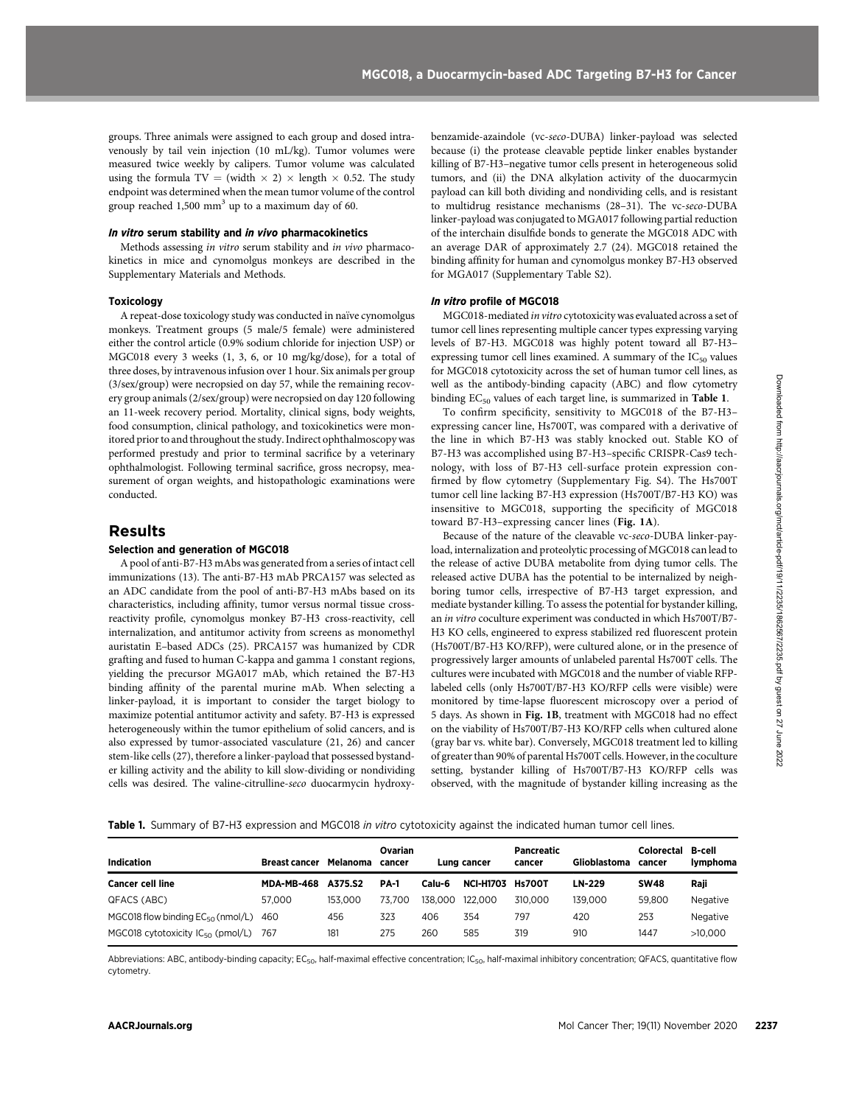groups. Three animals were assigned to each group and dosed intravenously by tail vein injection (10 mL/kg). Tumor volumes were measured twice weekly by calipers. Tumor volume was calculated using the formula TV = (width  $\times$  2)  $\times$  length  $\times$  0.52. The study endpoint was determined when the mean tumor volume of the control group reached 1,500 mm<sup>3</sup> up to a maximum day of 60.

### In vitro serum stability and in vivo pharmacokinetics

Methods assessing in vitro serum stability and in vivo pharmacokinetics in mice and cynomolgus monkeys are described in the Supplementary Materials and Methods.

#### Toxicology

A repeat-dose toxicology study was conducted in naïve cynomolgus monkeys. Treatment groups (5 male/5 female) were administered either the control article (0.9% sodium chloride for injection USP) or MGC018 every 3 weeks (1, 3, 6, or 10 mg/kg/dose), for a total of three doses, by intravenous infusion over 1 hour. Six animals per group (3/sex/group) were necropsied on day 57, while the remaining recovery group animals (2/sex/group) were necropsied on day 120 following an 11-week recovery period. Mortality, clinical signs, body weights, food consumption, clinical pathology, and toxicokinetics were monitored prior to and throughout the study. Indirect ophthalmoscopy was performed prestudy and prior to terminal sacrifice by a veterinary ophthalmologist. Following terminal sacrifice, gross necropsy, measurement of organ weights, and histopathologic examinations were conducted.

# Results

#### Selection and generation of MGC018

A pool of anti-B7-H3 mAbs was generated from a series of intact cell immunizations (13). The anti-B7-H3 mAb PRCA157 was selected as an ADC candidate from the pool of anti-B7-H3 mAbs based on its characteristics, including affinity, tumor versus normal tissue crossreactivity profile, cynomolgus monkey B7-H3 cross-reactivity, cell internalization, and antitumor activity from screens as monomethyl auristatin E–based ADCs (25). PRCA157 was humanized by CDR grafting and fused to human C-kappa and gamma 1 constant regions, yielding the precursor MGA017 mAb, which retained the B7-H3 binding affinity of the parental murine mAb. When selecting a linker-payload, it is important to consider the target biology to maximize potential antitumor activity and safety. B7-H3 is expressed heterogeneously within the tumor epithelium of solid cancers, and is also expressed by tumor-associated vasculature (21, 26) and cancer stem-like cells (27), therefore a linker-payload that possessed bystander killing activity and the ability to kill slow-dividing or nondividing cells was desired. The valine-citrulline-seco duocarmycin hydroxybenzamide-azaindole (vc-seco-DUBA) linker-payload was selected because (i) the protease cleavable peptide linker enables bystander killing of B7-H3–negative tumor cells present in heterogeneous solid tumors, and (ii) the DNA alkylation activity of the duocarmycin payload can kill both dividing and nondividing cells, and is resistant to multidrug resistance mechanisms (28–31). The vc-seco-DUBA linker-payload was conjugated to MGA017 following partial reduction of the interchain disulfide bonds to generate the MGC018 ADC with an average DAR of approximately 2.7 (24). MGC018 retained the binding affinity for human and cynomolgus monkey B7-H3 observed for MGA017 (Supplementary Table S2).

#### In vitro profile of MGC018

MGC018-mediated in vitro cytotoxicity was evaluated across a set of tumor cell lines representing multiple cancer types expressing varying levels of B7-H3. MGC018 was highly potent toward all B7-H3– expressing tumor cell lines examined. A summary of the  $IC_{50}$  values for MGC018 cytotoxicity across the set of human tumor cell lines, as well as the antibody-binding capacity (ABC) and flow cytometry binding  $EC_{50}$  values of each target line, is summarized in Table 1.

To confirm specificity, sensitivity to MGC018 of the B7-H3– expressing cancer line, Hs700T, was compared with a derivative of the line in which B7-H3 was stably knocked out. Stable KO of B7-H3 was accomplished using B7-H3–specific CRISPR-Cas9 technology, with loss of B7-H3 cell-surface protein expression confirmed by flow cytometry (Supplementary Fig. S4). The Hs700T tumor cell line lacking B7-H3 expression (Hs700T/B7-H3 KO) was insensitive to MGC018, supporting the specificity of MGC018 toward B7-H3–expressing cancer lines (Fig. 1A).

Because of the nature of the cleavable vc-seco-DUBA linker-payload, internalization and proteolytic processing of MGC018 can lead to the release of active DUBA metabolite from dying tumor cells. The released active DUBA has the potential to be internalized by neighboring tumor cells, irrespective of B7-H3 target expression, and mediate bystander killing. To assess the potential for bystander killing, an in vitro coculture experiment was conducted in which Hs700T/B7- H3 KO cells, engineered to express stabilized red fluorescent protein (Hs700T/B7-H3 KO/RFP), were cultured alone, or in the presence of progressively larger amounts of unlabeled parental Hs700T cells. The cultures were incubated with MGC018 and the number of viable RFPlabeled cells (only Hs700T/B7-H3 KO/RFP cells were visible) were monitored by time-lapse fluorescent microscopy over a period of 5 days. As shown in Fig. 1B, treatment with MGC018 had no effect on the viability of Hs700T/B7-H3 KO/RFP cells when cultured alone (gray bar vs. white bar). Conversely, MGC018 treatment led to killing of greater than 90% of parental Hs700T cells. However, in the coculture setting, bystander killing of Hs700T/B7-H3 KO/RFP cells was observed, with the magnitude of bystander killing increasing as the CASCA) are the control of the state in the state of the state of the state of the state of the state of the state of the state of the state of the state of the state of the state of the state of the state of the state of

Table 1. Summary of B7-H3 expression and MGC018 in vitro cytotoxicity against the indicated human tumor cell lines.

| <b>Indication</b>                          | <b>Breast cancer</b> | Melanoma | Ovarian<br>cancer |         | Lung cancer      | Pancreatic<br>cancer | Glioblastoma | <b>Colorectal</b><br>cancer | B-cell<br><b>Ivmphoma</b> |
|--------------------------------------------|----------------------|----------|-------------------|---------|------------------|----------------------|--------------|-----------------------------|---------------------------|
| <b>Cancer cell line</b>                    | <b>MDA-MB-468</b>    | A375.S2  | <b>PA-1</b>       | Calu-6  | <b>NCI-H1703</b> | <b>Hs700T</b>        | LN-229       | <b>SW48</b>                 | Raji                      |
| QFACS (ABC)                                | 57.000               | 153.000  | 73.700            | 138.000 | 122,000          | 310,000              | 139.000      | 59.800                      | Negative                  |
| MGC018 flow binding $EC_{50}$ (nmol/L)     | 460                  | 456      | 323               | 406     | 354              | 797                  | 420          | 253                         | Negative                  |
| MGC018 cytotoxicity $IC_{50}$ (pmol/L) 767 |                      | 181      | 275               | 260     | 585              | 319                  | 910          | 1447                        | >10.000                   |

Abbreviations: ABC, antibody-binding capacity; EC<sub>50</sub>, half-maximal effective concentration; IC<sub>50</sub>, half-maximal inhibitory concentration; QFACS, quantitative flow cytometry.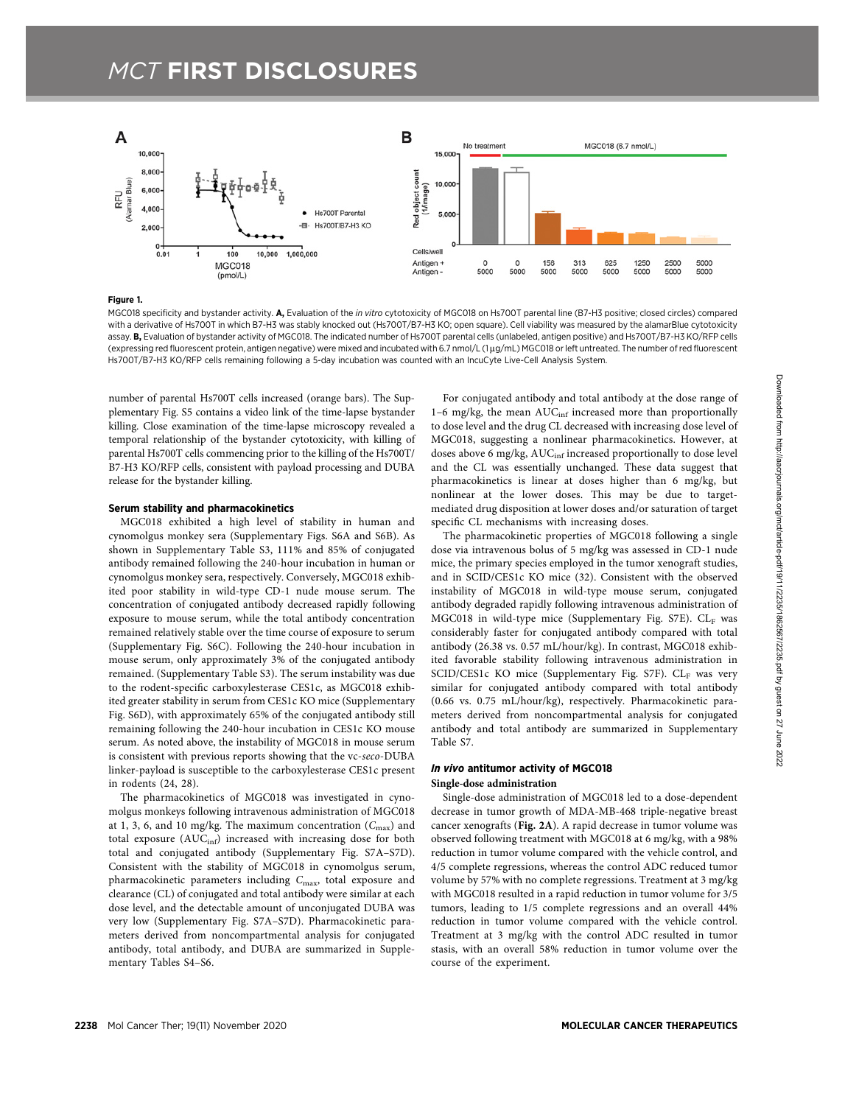

#### Figure 1.

MGC018 specificity and bystander activity. A, Evaluation of the in vitro cytotoxicity of MGC018 on Hs700T parental line (B7-H3 positive; closed circles) compared with a derivative of Hs700T in which B7-H3 was stably knocked out (Hs700T/B7-H3 KO; open square). Cell viability was measured by the alamarBlue cytotoxicity assay. B, Evaluation of bystander activity of MGC018. The indicated number of Hs700T parental cells (unlabeled, antigen positive) and Hs700T/B7-H3 KO/RFP cells (expressing red fluorescent protein, antigen negative) were mixed and incubated with 6.7 nmol/L (1 mg/mL) MGC018 or left untreated. The number of red fluorescent Hs700T/B7-H3 KO/RFP cells remaining following a 5-day incubation was counted with an IncuCyte Live-Cell Analysis System.

number of parental Hs700T cells increased (orange bars). The Supplementary Fig. S5 contains a video link of the time-lapse bystander killing. Close examination of the time-lapse microscopy revealed a temporal relationship of the bystander cytotoxicity, with killing of parental Hs700T cells commencing prior to the killing of the Hs700T/ B7-H3 KO/RFP cells, consistent with payload processing and DUBA release for the bystander killing.

## Serum stability and pharmacokinetics

MGC018 exhibited a high level of stability in human and cynomolgus monkey sera (Supplementary Figs. S6A and S6B). As shown in Supplementary Table S3, 111% and 85% of conjugated antibody remained following the 240-hour incubation in human or cynomolgus monkey sera, respectively. Conversely, MGC018 exhibited poor stability in wild-type CD-1 nude mouse serum. The concentration of conjugated antibody decreased rapidly following exposure to mouse serum, while the total antibody concentration remained relatively stable over the time course of exposure to serum (Supplementary Fig. S6C). Following the 240-hour incubation in mouse serum, only approximately 3% of the conjugated antibody remained. (Supplementary Table S3). The serum instability was due to the rodent-specific carboxylesterase CES1c, as MGC018 exhibited greater stability in serum from CES1c KO mice (Supplementary Fig. S6D), with approximately 65% of the conjugated antibody still remaining following the 240-hour incubation in CES1c KO mouse serum. As noted above, the instability of MGC018 in mouse serum is consistent with previous reports showing that the vc-seco-DUBA linker-payload is susceptible to the carboxylesterase CES1c present in rodents (24, 28).

The pharmacokinetics of MGC018 was investigated in cynomolgus monkeys following intravenous administration of MGC018 at 1, 3, 6, and 10 mg/kg. The maximum concentration  $(C_{\text{max}})$  and total exposure  $(AUC_{inf})$  increased with increasing dose for both total and conjugated antibody (Supplementary Fig. S7A–S7D). Consistent with the stability of MGC018 in cynomolgus serum, pharmacokinetic parameters including C<sub>max</sub>, total exposure and clearance (CL) of conjugated and total antibody were similar at each dose level, and the detectable amount of unconjugated DUBA was very low (Supplementary Fig. S7A–S7D). Pharmacokinetic parameters derived from noncompartmental analysis for conjugated antibody, total antibody, and DUBA are summarized in Supplementary Tables S4–S6.

For conjugated antibody and total antibody at the dose range of 1–6 mg/kg, the mean  $AUC_{\text{inf}}$  increased more than proportionally to dose level and the drug CL decreased with increasing dose level of MGC018, suggesting a nonlinear pharmacokinetics. However, at doses above 6 mg/kg, AUC<sub>inf</sub> increased proportionally to dose level and the CL was essentially unchanged. These data suggest that pharmacokinetics is linear at doses higher than 6 mg/kg, but nonlinear at the lower doses. This may be due to targetmediated drug disposition at lower doses and/or saturation of target specific CL mechanisms with increasing doses.

The pharmacokinetic properties of MGC018 following a single dose via intravenous bolus of 5 mg/kg was assessed in CD-1 nude mice, the primary species employed in the tumor xenograft studies, and in SCID/CES1c KO mice (32). Consistent with the observed instability of MGC018 in wild-type mouse serum, conjugated antibody degraded rapidly following intravenous administration of MGC018 in wild-type mice (Supplementary Fig. S7E).  $CL_F$  was considerably faster for conjugated antibody compared with total antibody (26.38 vs. 0.57 mL/hour/kg). In contrast, MGC018 exhibited favorable stability following intravenous administration in SCID/CES1c KO mice (Supplementary Fig. S7F).  $CL_F$  was very similar for conjugated antibody compared with total antibody (0.66 vs. 0.75 mL/hour/kg), respectively. Pharmacokinetic parameters derived from noncompartmental analysis for conjugated antibody and total antibody are summarized in Supplementary Table S7.

#### In vivo antitumor activity of MGC018 Single-dose administration

Single-dose administration of MGC018 led to a dose-dependent decrease in tumor growth of MDA-MB-468 triple-negative breast cancer xenografts (Fig. 2A). A rapid decrease in tumor volume was observed following treatment with MGC018 at 6 mg/kg, with a 98% reduction in tumor volume compared with the vehicle control, and 4/5 complete regressions, whereas the control ADC reduced tumor volume by 57% with no complete regressions. Treatment at 3 mg/kg with MGC018 resulted in a rapid reduction in tumor volume for 3/5 tumors, leading to 1/5 complete regressions and an overall 44% reduction in tumor volume compared with the vehicle control. Treatment at 3 mg/kg with the control ADC resulted in tumor stasis, with an overall 58% reduction in tumor volume over the course of the experiment.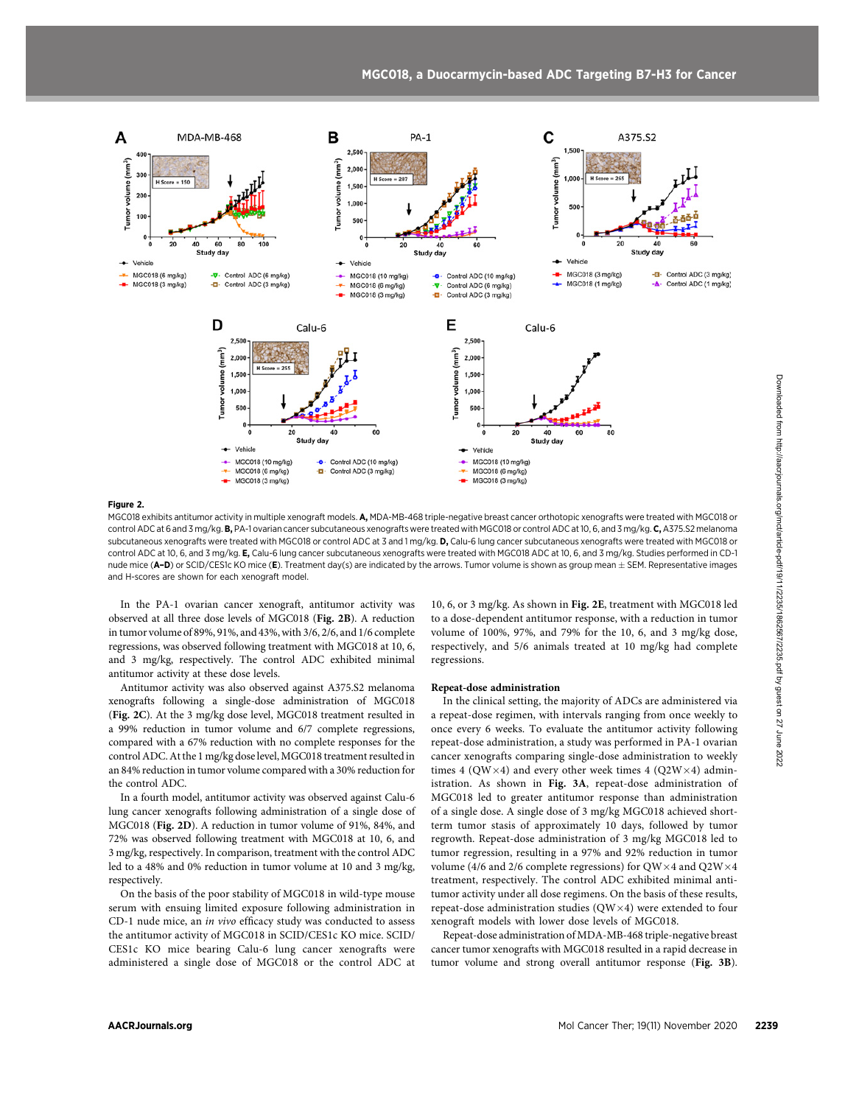

#### Figure 2.

MGC018 exhibits antitumor activity in multiple xenograft models. A, MDA-MB-468 triple-negative breast cancer orthotopic xenografts were treated with MGC018 or control ADC at 6 and 3 mg/kg. B, PA-1 ovarian cancer subcutaneous xenografts were treated with MGC018 or control ADC at 10, 6, and 3 mg/kg. C, A375.S2 melanoma subcutaneous xenografts were treated with MGC018 or control ADC at 3 and 1 mg/kg. D, Calu-6 lung cancer subcutaneous xenografts were treated with MGC018 or control ADC at 10, 6, and 3 mg/kg. E, Calu-6 lung cancer subcutaneous xenografts were treated with MGC018 ADC at 10, 6, and 3 mg/kg. Studies performed in CD-1 nude mice (A-D) or SCID/CES1c KO mice (E). Treatment day(s) are indicated by the arrows. Tumor volume is shown as group mean  $\pm$  SEM. Representative images and H-scores are shown for each xenograft model.

In the PA-1 ovarian cancer xenograft, antitumor activity was observed at all three dose levels of MGC018 (Fig. 2B). A reduction in tumor volume of 89%, 91%, and 43%, with 3/6, 2/6, and 1/6 complete regressions, was observed following treatment with MGC018 at 10, 6, and 3 mg/kg, respectively. The control ADC exhibited minimal antitumor activity at these dose levels.

Antitumor activity was also observed against A375.S2 melanoma xenografts following a single-dose administration of MGC018 (Fig. 2C). At the 3 mg/kg dose level, MGC018 treatment resulted in a 99% reduction in tumor volume and 6/7 complete regressions, compared with a 67% reduction with no complete responses for the control ADC. At the 1 mg/kg dose level, MGC018 treatment resulted in an 84% reduction in tumor volume compared with a 30% reduction for the control ADC.

In a fourth model, antitumor activity was observed against Calu-6 lung cancer xenografts following administration of a single dose of MGC018 (Fig. 2D). A reduction in tumor volume of 91%, 84%, and 72% was observed following treatment with MGC018 at 10, 6, and 3 mg/kg, respectively. In comparison, treatment with the control ADC led to a 48% and 0% reduction in tumor volume at 10 and 3 mg/kg, respectively.

On the basis of the poor stability of MGC018 in wild-type mouse serum with ensuing limited exposure following administration in CD-1 nude mice, an in vivo efficacy study was conducted to assess the antitumor activity of MGC018 in SCID/CES1c KO mice. SCID/ CES1c KO mice bearing Calu-6 lung cancer xenografts were administered a single dose of MGC018 or the control ADC at 10, 6, or 3 mg/kg. As shown in Fig. 2E, treatment with MGC018 led to a dose-dependent antitumor response, with a reduction in tumor volume of 100%, 97%, and 79% for the 10, 6, and 3 mg/kg dose, respectively, and 5/6 animals treated at 10 mg/kg had complete regressions.

#### Repeat-dose administration

In the clinical setting, the majority of ADCs are administered via a repeat-dose regimen, with intervals ranging from once weekly to once every 6 weeks. To evaluate the antitumor activity following repeat-dose administration, a study was performed in PA-1 ovarian cancer xenografts comparing single-dose administration to weekly times 4 (QW $\times$ 4) and every other week times 4 (Q2W $\times$ 4) administration. As shown in Fig. 3A, repeat-dose administration of MGC018 led to greater antitumor response than administration of a single dose. A single dose of 3 mg/kg MGC018 achieved shortterm tumor stasis of approximately 10 days, followed by tumor regrowth. Repeat-dose administration of 3 mg/kg MGC018 led to tumor regression, resulting in a 97% and 92% reduction in tumor volume (4/6 and 2/6 complete regressions) for QW $\times$ 4 and Q2W $\times$ 4 treatment, respectively. The control ADC exhibited minimal antitumor activity under all dose regimens. On the basis of these results, repeat-dose administration studies  $(QW\times4)$  were extended to four xenograft models with lower dose levels of MGC018.

Repeat-dose administration of MDA-MB-468 triple-negative breast cancer tumor xenografts with MGC018 resulted in a rapid decrease in tumor volume and strong overall antitumor response (Fig. 3B).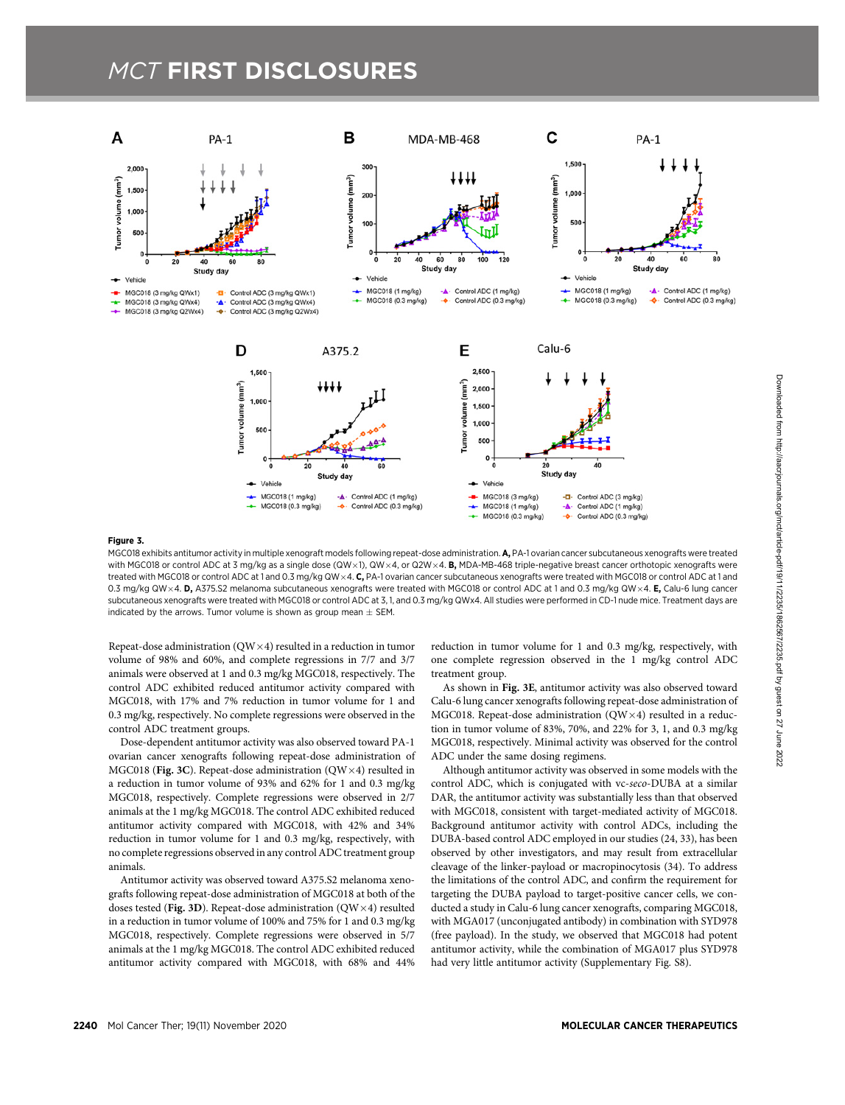# **MCT FIRST DISCLOSURES**



#### Figure 3.

MGC018 exhibits antitumor activity in multiple xenograft models following repeat-dose administration. A, PA-1 ovarian cancer subcutaneous xenografts were treated with MGC018 or control ADC at 3 mg/kg as a single dose (QW $\times$ 1), QW $\times$ 4, or Q2W $\times$ 4. B, MDA-MB-468 triple-negative breast cancer orthotopic xenografts were treated with MGC018 or control ADC at 1 and 0.3 mg/kg QW × 4. C, PA-1 ovarian cancer subcutaneous xenografts were treated with MGC018 or control ADC at 1 and 0.3 mg/kg QW × 4. D, A375.S2 melanoma subcutaneous xenografts were treated with MGC018 or control ADC at 1 and 0.3 mg/kg QW × 4. E, Calu-6 lung cancer subcutaneous xenografts were treated with MGC018 or control ADC at 3, 1, and 0.3 mg/kg QWx4. All studies were performed in CD-1 nude mice. Treatment days are indicated by the arrows. Tumor volume is shown as group mean  $\pm$  SEM.

Repeat-dose administration ( $QW\times4$ ) resulted in a reduction in tumor volume of 98% and 60%, and complete regressions in 7/7 and 3/7 animals were observed at 1 and 0.3 mg/kg MGC018, respectively. The control ADC exhibited reduced antitumor activity compared with MGC018, with 17% and 7% reduction in tumor volume for 1 and 0.3 mg/kg, respectively. No complete regressions were observed in the control ADC treatment groups.

Dose-dependent antitumor activity was also observed toward PA-1 ovarian cancer xenografts following repeat-dose administration of MGC018 (Fig. 3C). Repeat-dose administration ( $\text{OW} \times 4$ ) resulted in a reduction in tumor volume of 93% and 62% for 1 and 0.3 mg/kg MGC018, respectively. Complete regressions were observed in 2/7 animals at the 1 mg/kg MGC018. The control ADC exhibited reduced antitumor activity compared with MGC018, with 42% and 34% reduction in tumor volume for 1 and 0.3 mg/kg, respectively, with no complete regressions observed in any control ADC treatment group animals.

Antitumor activity was observed toward A375.S2 melanoma xenografts following repeat-dose administration of MGC018 at both of the doses tested (Fig. 3D). Repeat-dose administration ( $QW\times4$ ) resulted in a reduction in tumor volume of 100% and 75% for 1 and 0.3 mg/kg MGC018, respectively. Complete regressions were observed in 5/7 animals at the 1 mg/kg MGC018. The control ADC exhibited reduced antitumor activity compared with MGC018, with 68% and 44%

reduction in tumor volume for 1 and 0.3 mg/kg, respectively, with one complete regression observed in the 1 mg/kg control ADC treatment group.

As shown in Fig. 3E, antitumor activity was also observed toward Calu-6 lung cancer xenografts following repeat-dose administration of MGC018. Repeat-dose administration  $(OW \times 4)$  resulted in a reduction in tumor volume of 83%, 70%, and 22% for 3, 1, and 0.3 mg/kg MGC018, respectively. Minimal activity was observed for the control ADC under the same dosing regimens.

Although antitumor activity was observed in some models with the control ADC, which is conjugated with vc-seco-DUBA at a similar DAR, the antitumor activity was substantially less than that observed with MGC018, consistent with target-mediated activity of MGC018. Background antitumor activity with control ADCs, including the DUBA-based control ADC employed in our studies (24, 33), has been observed by other investigators, and may result from extracellular cleavage of the linker-payload or macropinocytosis (34). To address the limitations of the control ADC, and confirm the requirement for targeting the DUBA payload to target-positive cancer cells, we conducted a study in Calu-6 lung cancer xenografts, comparing MGC018, with MGA017 (unconjugated antibody) in combination with SYD978 (free payload). In the study, we observed that MGC018 had potent antitumor activity, while the combination of MGA017 plus SYD978 had very little antitumor activity (Supplementary Fig. S8).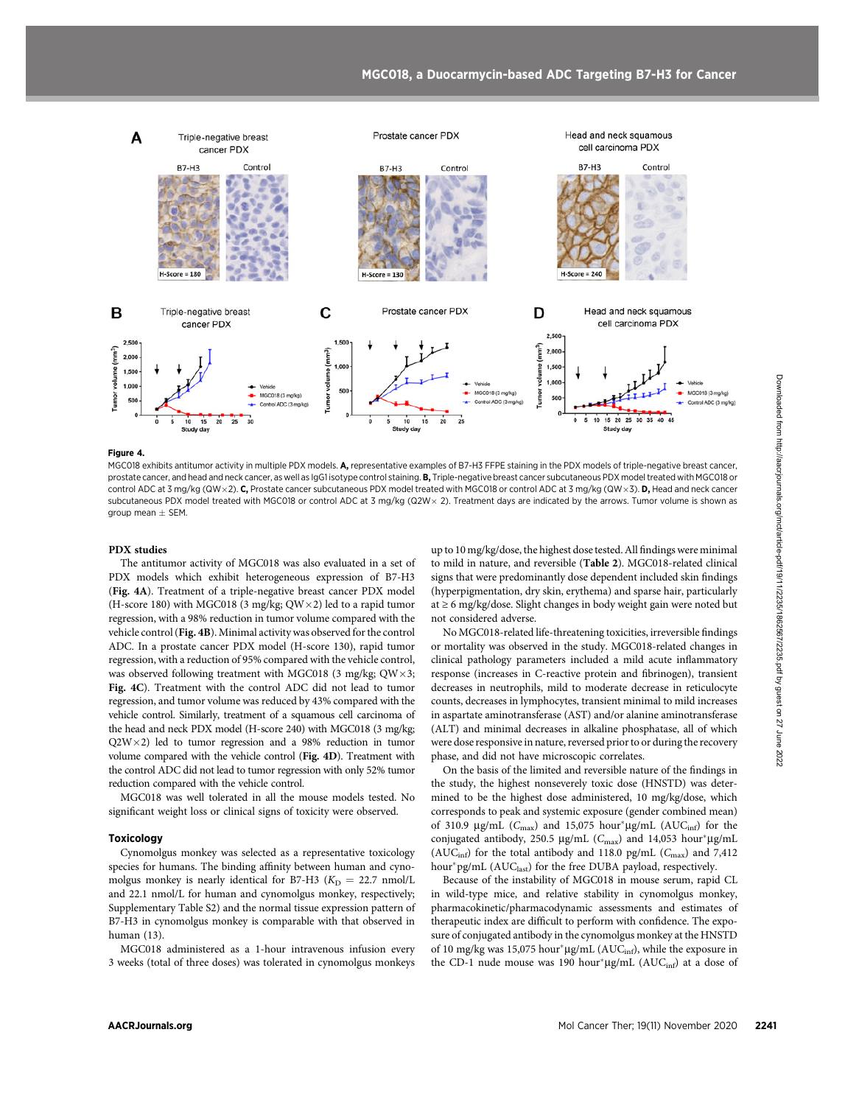

#### Figure 4.

MGC018 exhibits antitumor activity in multiple PDX models. A, representative examples of B7-H3 FFPE staining in the PDX models of triple-negative breast cancer, prostate cancer, and head and neck cancer, as well as IgG1 isotype control staining. B, Triple-negative breast cancer subcutaneous PDX model treated with MGC018 or control ADC at 3 mg/kg (QW × 2). C, Prostate cancer subcutaneous PDX model treated with MGC018 or control ADC at 3 mg/kg (QW × 3). D, Head and neck cancer subcutaneous PDX model treated with MGC018 or control ADC at 3 mg/kg (Q2W × 2). Treatment days are indicated by the arrows. Tumor volume is shown as  $q$ roup mean  $+$  SEM.

## PDX studies

The antitumor activity of MGC018 was also evaluated in a set of PDX models which exhibit heterogeneous expression of B7-H3 (Fig. 4A). Treatment of a triple-negative breast cancer PDX model (H-score 180) with MGC018 (3 mg/kg;  $QW \times 2$ ) led to a rapid tumor regression, with a 98% reduction in tumor volume compared with the vehicle control (Fig. 4B). Minimal activity was observed for the control ADC. In a prostate cancer PDX model (H-score 130), rapid tumor regression, with a reduction of 95% compared with the vehicle control, was observed following treatment with MGC018 (3 mg/kg;  $QW \times 3$ ; Fig. 4C). Treatment with the control ADC did not lead to tumor regression, and tumor volume was reduced by 43% compared with the vehicle control. Similarly, treatment of a squamous cell carcinoma of the head and neck PDX model (H-score 240) with MGC018 (3 mg/kg;  $Q2W \times 2$ ) led to tumor regression and a 98% reduction in tumor volume compared with the vehicle control (Fig. 4D). Treatment with the control ADC did not lead to tumor regression with only 52% tumor reduction compared with the vehicle control. AACRJournals.org Mol Cancer Ther; 19(11) November 2020 <sup>2241</sup>Downloaded from http://aacrjournals.org/mct/article-pdf/19/11/2235/1862567/2235.pdf by guest on 27 June 2022

MGC018 was well tolerated in all the mouse models tested. No significant weight loss or clinical signs of toxicity were observed.

#### Toxicology

Cynomolgus monkey was selected as a representative toxicology species for humans. The binding affinity between human and cynomolgus monkey is nearly identical for B7-H3 ( $K_D = 22.7$  nmol/L and 22.1 nmol/L for human and cynomolgus monkey, respectively; Supplementary Table S2) and the normal tissue expression pattern of B7-H3 in cynomolgus monkey is comparable with that observed in human (13).

MGC018 administered as a 1-hour intravenous infusion every 3 weeks (total of three doses) was tolerated in cynomolgus monkeys up to 10 mg/kg/dose, the highest dose tested. All findings were minimal to mild in nature, and reversible (Table 2). MGC018-related clinical signs that were predominantly dose dependent included skin findings (hyperpigmentation, dry skin, erythema) and sparse hair, particularly at ≥ 6 mg/kg/dose. Slight changes in body weight gain were noted but not considered adverse.

No MGC018-related life-threatening toxicities, irreversible findings or mortality was observed in the study. MGC018-related changes in clinical pathology parameters included a mild acute inflammatory response (increases in C-reactive protein and fibrinogen), transient decreases in neutrophils, mild to moderate decrease in reticulocyte counts, decreases in lymphocytes, transient minimal to mild increases in aspartate aminotransferase (AST) and/or alanine aminotransferase (ALT) and minimal decreases in alkaline phosphatase, all of which were dose responsive in nature, reversed prior to or during the recovery phase, and did not have microscopic correlates.

On the basis of the limited and reversible nature of the findings in the study, the highest nonseverely toxic dose (HNSTD) was determined to be the highest dose administered, 10 mg/kg/dose, which corresponds to peak and systemic exposure (gender combined mean) of 310.9 µg/mL ( $C_{\text{max}}$ ) and 15,075 hour\*µg/mL ( $AUC_{\text{inf}}$ ) for the conjugated antibody, 250.5 µg/mL ( $C_{\text{max}}$ ) and 14,053 hour\*µg/mL ( $AUC_{\text{inf}}$ ) for the total antibody and 118.0 pg/mL ( $C_{\text{max}}$ ) and 7,412 hour\*pg/mL (AUC<sub>last</sub>) for the free DUBA payload, respectively.

Because of the instability of MGC018 in mouse serum, rapid CL in wild-type mice, and relative stability in cynomolgus monkey, pharmacokinetic/pharmacodynamic assessments and estimates of therapeutic index are difficult to perform with confidence. The exposure of conjugated antibody in the cynomolgus monkey at the HNSTD of 10 mg/kg was 15,075 hour\* $\mu$ g/mL (AUC<sub>inf</sub>), while the exposure in the CD-1 nude mouse was 190 hour\* $\mu$ g/mL (AUC<sub>inf</sub>) at a dose of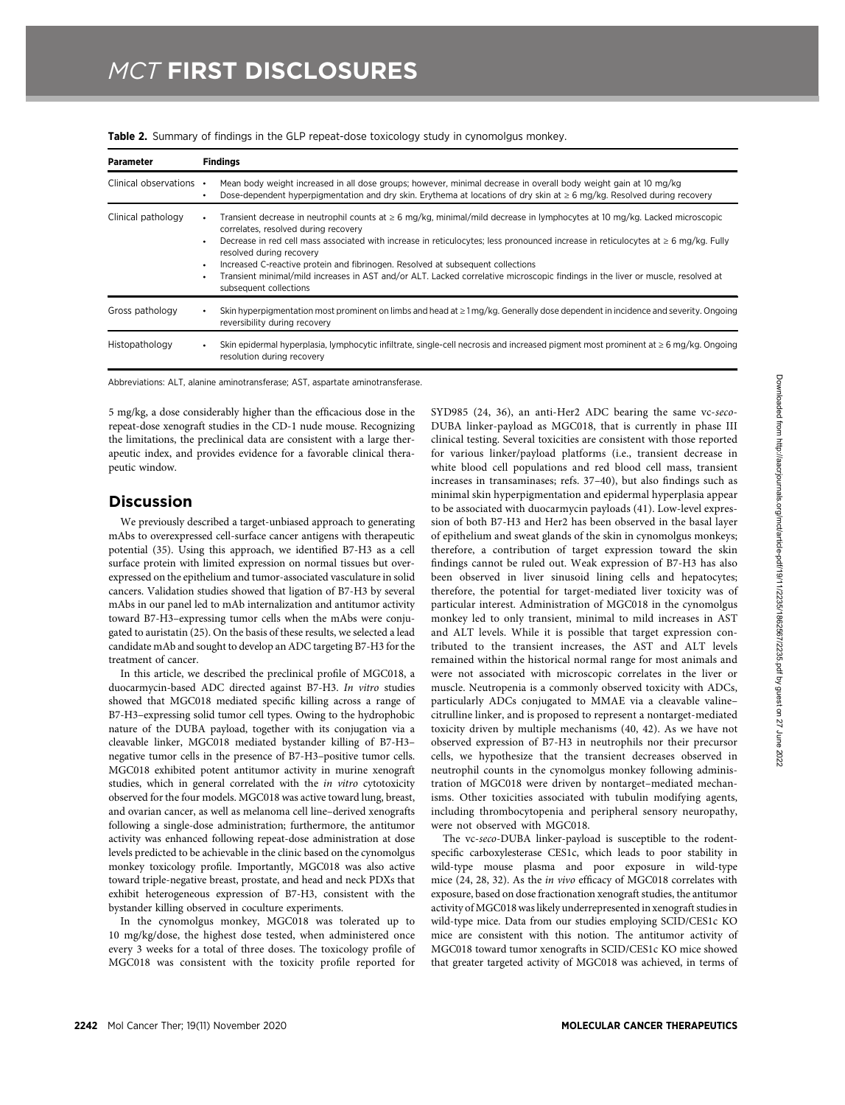| <b>Parameter</b>        | <b>Findings</b>                                                                                                                                                                                                                                                                                                                                                                                                                                                                                                                                                                                                          |  |  |  |  |  |  |
|-------------------------|--------------------------------------------------------------------------------------------------------------------------------------------------------------------------------------------------------------------------------------------------------------------------------------------------------------------------------------------------------------------------------------------------------------------------------------------------------------------------------------------------------------------------------------------------------------------------------------------------------------------------|--|--|--|--|--|--|
| Clinical observations • | Mean body weight increased in all dose groups; however, minimal decrease in overall body weight gain at 10 mg/kg<br>Dose-dependent hyperpigmentation and dry skin. Erythema at locations of dry skin at $\geq 6$ mg/kg. Resolved during recovery                                                                                                                                                                                                                                                                                                                                                                         |  |  |  |  |  |  |
| Clinical pathology      | Transient decrease in neutrophil counts at $\geq 6$ mg/kg, minimal/mild decrease in lymphocytes at 10 mg/kg. Lacked microscopic<br>correlates, resolved during recovery<br>Decrease in red cell mass associated with increase in reticulocytes; less pronounced increase in reticulocytes at $\geq 6$ mg/kg. Fully<br>$\bullet$<br>resolved during recovery<br>Increased C-reactive protein and fibrinogen. Resolved at subsequent collections<br>$\bullet$<br>Transient minimal/mild increases in AST and/or ALT. Lacked correlative microscopic findings in the liver or muscle, resolved at<br>subsequent collections |  |  |  |  |  |  |
| Gross pathology         | Skin hyperpigmentation most prominent on limbs and head at $\geq 1$ mg/kg. Generally dose dependent in incidence and severity. Ongoing<br>reversibility during recovery                                                                                                                                                                                                                                                                                                                                                                                                                                                  |  |  |  |  |  |  |
| Histopathology          | Skin epidermal hyperplasia, lymphocytic infiltrate, single-cell necrosis and increased pigment most prominent at $\geq 6$ mg/kg. Ongoing<br>٠<br>resolution during recovery                                                                                                                                                                                                                                                                                                                                                                                                                                              |  |  |  |  |  |  |

**Table 2.** Summary of findings in the GLP repeat-dose toxicology study in cynomolgus monkey.

Abbreviations: ALT, alanine aminotransferase; AST, aspartate aminotransferase.

5 mg/kg, a dose considerably higher than the efficacious dose in the repeat-dose xenograft studies in the CD-1 nude mouse. Recognizing the limitations, the preclinical data are consistent with a large therapeutic index, and provides evidence for a favorable clinical therapeutic window.

## **Discussion**

We previously described a target-unbiased approach to generating mAbs to overexpressed cell-surface cancer antigens with therapeutic potential (35). Using this approach, we identified B7-H3 as a cell surface protein with limited expression on normal tissues but overexpressed on the epithelium and tumor-associated vasculature in solid cancers. Validation studies showed that ligation of B7-H3 by several mAbs in our panel led to mAb internalization and antitumor activity toward B7-H3–expressing tumor cells when the mAbs were conjugated to auristatin (25). On the basis of these results, we selected a lead candidate mAb and sought to develop an ADC targeting B7-H3 for the treatment of cancer.

In this article, we described the preclinical profile of MGC018, a duocarmycin-based ADC directed against B7-H3. In vitro studies showed that MGC018 mediated specific killing across a range of B7-H3–expressing solid tumor cell types. Owing to the hydrophobic nature of the DUBA payload, together with its conjugation via a cleavable linker, MGC018 mediated bystander killing of B7-H3– negative tumor cells in the presence of B7-H3–positive tumor cells. MGC018 exhibited potent antitumor activity in murine xenograft studies, which in general correlated with the in vitro cytotoxicity observed for the four models. MGC018 was active toward lung, breast, and ovarian cancer, as well as melanoma cell line–derived xenografts following a single-dose administration; furthermore, the antitumor activity was enhanced following repeat-dose administration at dose levels predicted to be achievable in the clinic based on the cynomolgus monkey toxicology profile. Importantly, MGC018 was also active toward triple-negative breast, prostate, and head and neck PDXs that exhibit heterogeneous expression of B7-H3, consistent with the bystander killing observed in coculture experiments.

In the cynomolgus monkey, MGC018 was tolerated up to 10 mg/kg/dose, the highest dose tested, when administered once every 3 weeks for a total of three doses. The toxicology profile of MGC018 was consistent with the toxicity profile reported for SYD985 (24, 36), an anti-Her2 ADC bearing the same vc-seco-DUBA linker-payload as MGC018, that is currently in phase III clinical testing. Several toxicities are consistent with those reported for various linker/payload platforms (i.e., transient decrease in white blood cell populations and red blood cell mass, transient increases in transaminases; refs. 37–40), but also findings such as minimal skin hyperpigmentation and epidermal hyperplasia appear to be associated with duocarmycin payloads (41). Low-level expression of both B7-H3 and Her2 has been observed in the basal layer of epithelium and sweat glands of the skin in cynomolgus monkeys; therefore, a contribution of target expression toward the skin findings cannot be ruled out. Weak expression of B7-H3 has also been observed in liver sinusoid lining cells and hepatocytes; therefore, the potential for target-mediated liver toxicity was of particular interest. Administration of MGC018 in the cynomolgus monkey led to only transient, minimal to mild increases in AST and ALT levels. While it is possible that target expression contributed to the transient increases, the AST and ALT levels remained within the historical normal range for most animals and were not associated with microscopic correlates in the liver or muscle. Neutropenia is a commonly observed toxicity with ADCs, particularly ADCs conjugated to MMAE via a cleavable valine– citrulline linker, and is proposed to represent a nontarget-mediated toxicity driven by multiple mechanisms (40, 42). As we have not observed expression of B7-H3 in neutrophils nor their precursor cells, we hypothesize that the transient decreases observed in neutrophil counts in the cynomolgus monkey following administration of MGC018 were driven by nontarget–mediated mechanisms. Other toxicities associated with tubulin modifying agents, including thrombocytopenia and peripheral sensory neuropathy, were not observed with MGC018.

The vc-seco-DUBA linker-payload is susceptible to the rodentspecific carboxylesterase CES1c, which leads to poor stability in wild-type mouse plasma and poor exposure in wild-type mice (24, 28, 32). As the in vivo efficacy of MGC018 correlates with exposure, based on dose fractionation xenograft studies, the antitumor activity of MGC018 was likely underrepresented in xenograft studies in wild-type mice. Data from our studies employing SCID/CES1c KO mice are consistent with this notion. The antitumor activity of MGC018 toward tumor xenografts in SCID/CES1c KO mice showed that greater targeted activity of MGC018 was achieved, in terms of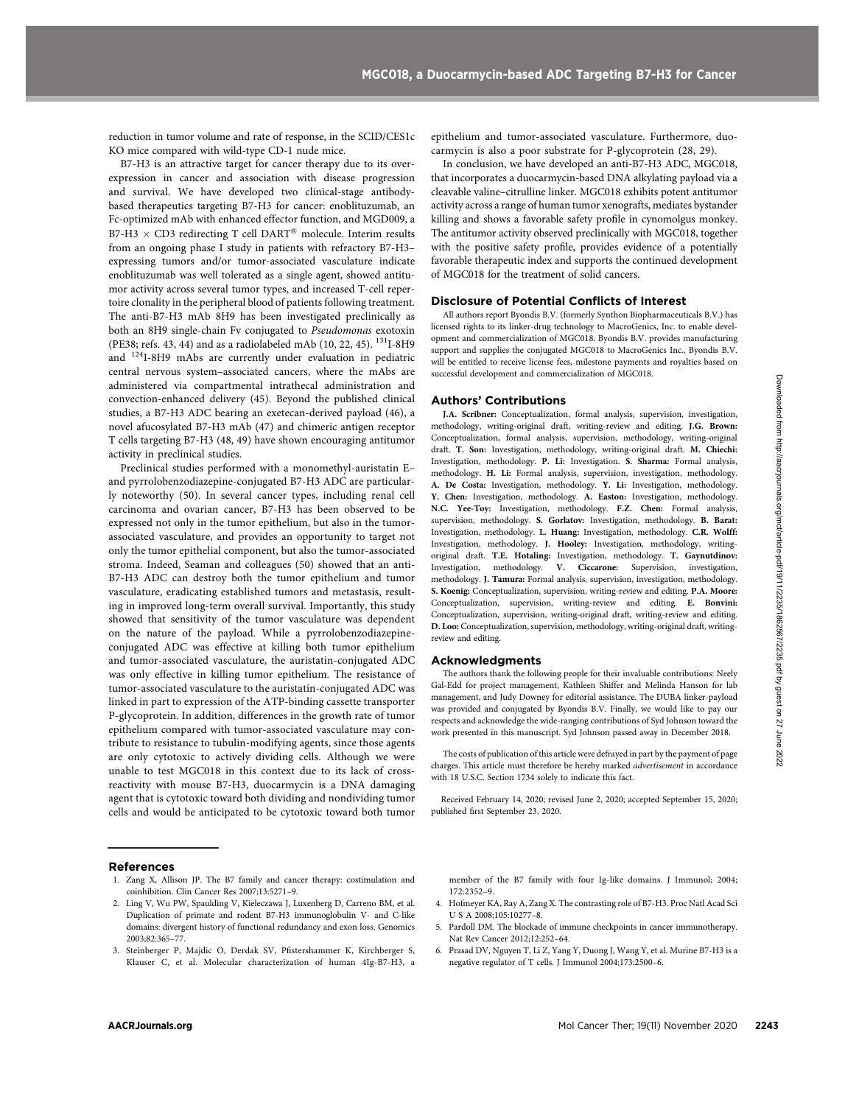reduction in tumor volume and rate of response, in the SCID/CES1c KO mice compared with wild-type CD-1 nude mice.

B7-H3 is an attractive target for cancer therapy due to its overexpression in cancer and association with disease progression and survival. We have developed two clinical-stage antibodybased therapeutics targeting B7-H3 for cancer: enoblituzumab, an Fc-optimized mAb with enhanced effector function, and MGD009, a B7-H3  $\times$  CD3 redirecting T cell DART<sup>®</sup> molecule. Interim results from an ongoing phase I study in patients with refractory B7-H3– expressing tumors and/or tumor-associated vasculature indicate enoblituzumab was well tolerated as a single agent, showed antitumor activity across several tumor types, and increased T-cell repertoire clonality in the peripheral blood of patients following treatment. The anti-B7-H3 mAb 8H9 has been investigated preclinically as both an 8H9 single-chain Fv conjugated to Pseudomonas exotoxin (PE38; refs. 43, 44) and as a radiolabeled mAb (10, 22, 45).  $^{131}$ I-8H9 and 124I-8H9 mAbs are currently under evaluation in pediatric central nervous system–associated cancers, where the mAbs are administered via compartmental intrathecal administration and convection-enhanced delivery (45). Beyond the published clinical studies, a B7-H3 ADC bearing an exetecan-derived payload (46), a novel afucosylated B7-H3 mAb (47) and chimeric antigen receptor T cells targeting B7-H3 (48, 49) have shown encouraging antitumor activity in preclinical studies.

Preclinical studies performed with a monomethyl-auristatin E– and pyrrolobenzodiazepine-conjugated B7-H3 ADC are particularly noteworthy (50). In several cancer types, including renal cell carcinoma and ovarian cancer, B7-H3 has been observed to be expressed not only in the tumor epithelium, but also in the tumorassociated vasculature, and provides an opportunity to target not only the tumor epithelial component, but also the tumor-associated stroma. Indeed, Seaman and colleagues (50) showed that an anti-B7-H3 ADC can destroy both the tumor epithelium and tumor vasculature, eradicating established tumors and metastasis, resulting in improved long-term overall survival. Importantly, this study showed that sensitivity of the tumor vasculature was dependent on the nature of the payload. While a pyrrolobenzodiazepineconjugated ADC was effective at killing both tumor epithelium and tumor-associated vasculature, the auristatin-conjugated ADC was only effective in killing tumor epithelium. The resistance of tumor-associated vasculature to the auristatin-conjugated ADC was linked in part to expression of the ATP-binding cassette transporter P-glycoprotein. In addition, differences in the growth rate of tumor epithelium compared with tumor-associated vasculature may contribute to resistance to tubulin-modifying agents, since those agents are only cytotoxic to actively dividing cells. Although we were unable to test MGC018 in this context due to its lack of crossreactivity with mouse B7-H3, duocarmycin is a DNA damaging agent that is cytotoxic toward both dividing and nondividing tumor cells and would be anticipated to be cytotoxic toward both tumor About the internal statistics and advertiser or the internal statistics and the internal statistics and internal statistics and internal statistics and internal statistics and internal statistics are entirely internal sta

epithelium and tumor-associated vasculature. Furthermore, duocarmycin is also a poor substrate for P-glycoprotein (28, 29).

In conclusion, we have developed an anti-B7-H3 ADC, MGC018, that incorporates a duocarmycin-based DNA alkylating payload via a cleavable valine–citrulline linker. MGC018 exhibits potent antitumor activity across a range of human tumor xenografts, mediates bystander killing and shows a favorable safety profile in cynomolgus monkey. The antitumor activity observed preclinically with MGC018, together with the positive safety profile, provides evidence of a potentially favorable therapeutic index and supports the continued development of MGC018 for the treatment of solid cancers.

## Disclosure of Potential Conflicts of Interest

All authors report Byondis B.V. (formerly Synthon Biopharmaceuticals B.V.) has licensed rights to its linker-drug technology to MacroGenics, Inc. to enable development and commercialization of MGC018. Byondis B.V. provides manufacturing support and supplies the conjugated MGC018 to MacroGenics Inc., Byondis B.V. will be entitled to receive license fees, milestone payments and royalties based on successful development and commercialization of MGC018.

## Authors' Contributions

J.A. Scribner: Conceptualization, formal analysis, supervision, investigation, methodology, writing-original draft, writing-review and editing. J.G. Brown: Conceptualization, formal analysis, supervision, methodology, writing-original draft. T. Son: Investigation, methodology, writing-original draft. M. Chiechi: Investigation, methodology. P. Li: Investigation. S. Sharma: Formal analysis, methodology. H. Li: Formal analysis, supervision, investigation, methodology. A. De Costa: Investigation, methodology. Y. Li: Investigation, methodology. Y. Chen: Investigation, methodology. A. Easton: Investigation, methodology. N.C. Yee-Toy: Investigation, methodology. F.Z. Chen: Formal analysis, supervision, methodology. S. Gorlatov: Investigation, methodology. B. Barat: Investigation, methodology. L. Huang: Investigation, methodology. C.R. Wolff: Investigation, methodology. J. Hooley: Investigation, methodology, writingoriginal draft. T.E. Hotaling: Investigation, methodology. T. Gaynutdinov: Investigation, methodology. V. Ciccarone: Supervision, investigation, methodology. J. Tamura: Formal analysis, supervision, investigation, methodology. S. Koenig: Conceptualization, supervision, writing-review and editing. P.A. Moore: Conceptualization, supervision, writing-review and editing. E. Bonvini: Conceptualization, supervision, writing-original draft, writing-review and editing. D. Loo: Conceptualization, supervision, methodology, writing-original draft, writingreview and editing.

#### Acknowledgments

The authors thank the following people for their invaluable contributions: Neely Gal-Edd for project management, Kathleen Shiffer and Melinda Hanson for lab management, and Judy Downey for editorial assistance. The DUBA linker-payload was provided and conjugated by Byondis B.V. Finally, we would like to pay our respects and acknowledge the wide-ranging contributions of Syd Johnson toward the work presented in this manuscript. Syd Johnson passed away in December 2018.

The costs of publication of this article were defrayed in part by the payment of page charges. This article must therefore be hereby marked advertisement in accordance with 18 U.S.C. Section 1734 solely to indicate this fact.

Received February 14, 2020; revised June 2, 2020; accepted September 15, 2020; published first September 23, 2020.

## References

- 1. Zang X, Allison JP. The B7 family and cancer therapy: costimulation and coinhibition. Clin Cancer Res 2007;13:5271–9.
- 2. Ling V, Wu PW, Spaulding V, Kieleczawa J, Luxenberg D, Carreno BM, et al. Duplication of primate and rodent B7-H3 immunoglobulin V- and C-like domains: divergent history of functional redundancy and exon loss. Genomics 2003;82:365–77.
- 3. Steinberger P, Majdic O, Derdak SV, Pfistershammer K, Kirchberger S, Klauser C, et al. Molecular characterization of human 4Ig-B7-H3, a

member of the B7 family with four Ig-like domains. J Immunol; 2004; 172:2352–9.

- 4. Hofmeyer KA, Ray A, Zang X. The contrasting role of B7-H3. Proc Natl Acad Sci U S A 2008;105:10277–8.
- 5. Pardoll DM. The blockade of immune checkpoints in cancer immunotherapy. Nat Rev Cancer 2012;12:252–64.
- 6. Prasad DV, Nguyen T, Li Z, Yang Y, Duong J, Wang Y, et al. Murine B7-H3 is a negative regulator of T cells. J Immunol 2004;173:2500–6.